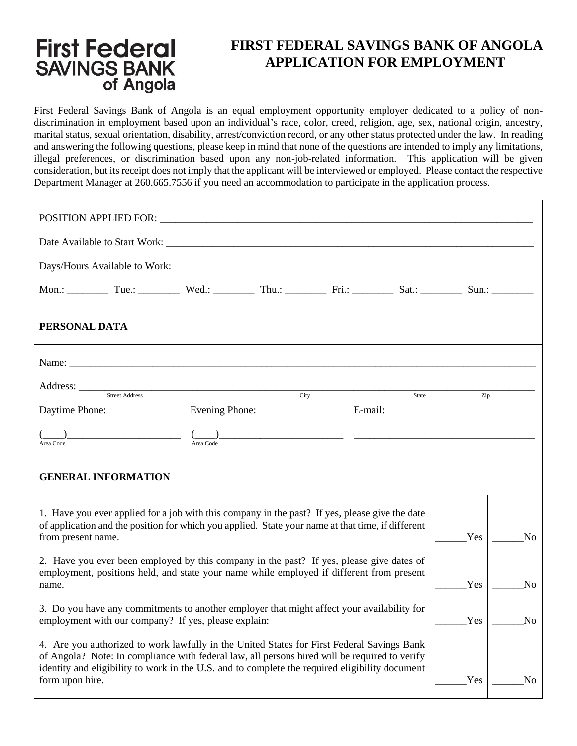#### **First Federal FIRST FEDERAL SAVINGS BANK OF ANGOLA APPLICATION FOR EMPLOYMENT SAVINGS BANK** of Angola

First Federal Savings Bank of Angola is an equal employment opportunity employer dedicated to a policy of nondiscrimination in employment based upon an individual's race, color, creed, religion, age, sex, national origin, ancestry, marital status, sexual orientation, disability, arrest/conviction record, or any other status protected under the law. In reading and answering the following questions, please keep in mind that none of the questions are intended to imply any limitations, illegal preferences, or discrimination based upon any non-job-related information. This application will be given consideration, but its receipt does not imply that the applicant will be interviewed or employed. Please contact the respective Department Manager at 260.665.7556 if you need an accommodation to participate in the application process.

| POSITION APPLIED FOR: University of the contract of the contract of the contract of the contract of the contract of the contract of the contract of the contract of the contract of the contract of the contract of the contra                                                                                   |                       |      |         |       |     |                |  |
|------------------------------------------------------------------------------------------------------------------------------------------------------------------------------------------------------------------------------------------------------------------------------------------------------------------|-----------------------|------|---------|-------|-----|----------------|--|
|                                                                                                                                                                                                                                                                                                                  |                       |      |         |       |     |                |  |
| Days/Hours Available to Work:                                                                                                                                                                                                                                                                                    |                       |      |         |       |     |                |  |
| Mon.: Tue.: Tue.: Wed.: Thu.: Thu.: Fri.: Sat.: Sat.: Sun.: _________ Sun.: __________                                                                                                                                                                                                                           |                       |      |         |       |     |                |  |
| PERSONAL DATA                                                                                                                                                                                                                                                                                                    |                       |      |         |       |     |                |  |
| Name: $\frac{1}{2}$ Name: $\frac{1}{2}$ Name: $\frac{1}{2}$ Name: $\frac{1}{2}$ Name: $\frac{1}{2}$ Name: $\frac{1}{2}$ Name: $\frac{1}{2}$ Name: $\frac{1}{2}$ Name: $\frac{1}{2}$ Name: $\frac{1}{2}$ Name: $\frac{1}{2}$ Name: $\frac{1}{2}$ Name: $\frac{1}{2}$ Name: $\frac{1}{2$                           |                       |      |         |       |     |                |  |
| Address: <u>Street Address</u>                                                                                                                                                                                                                                                                                   |                       | City |         | State | Zip |                |  |
| Daytime Phone:                                                                                                                                                                                                                                                                                                   | <b>Evening Phone:</b> |      | E-mail: |       |     |                |  |
|                                                                                                                                                                                                                                                                                                                  |                       |      |         |       |     |                |  |
| <b>GENERAL INFORMATION</b>                                                                                                                                                                                                                                                                                       |                       |      |         |       |     |                |  |
| 1. Have you ever applied for a job with this company in the past? If yes, please give the date<br>of application and the position for which you applied. State your name at that time, if different<br>from present name.                                                                                        |                       |      |         |       | Yes | N <sub>0</sub> |  |
| 2. Have you ever been employed by this company in the past? If yes, please give dates of<br>employment, positions held, and state your name while employed if different from present<br>name.                                                                                                                    |                       |      |         |       | Yes | N <sub>0</sub> |  |
| 3. Do you have any commitments to another employer that might affect your availability for<br>employment with our company? If yes, please explain:                                                                                                                                                               |                       |      |         |       | Yes | N <sub>o</sub> |  |
| 4. Are you authorized to work lawfully in the United States for First Federal Savings Bank<br>of Angola? Note: In compliance with federal law, all persons hired will be required to verify<br>identity and eligibility to work in the U.S. and to complete the required eligibility document<br>form upon hire. |                       |      |         |       | Yes | No             |  |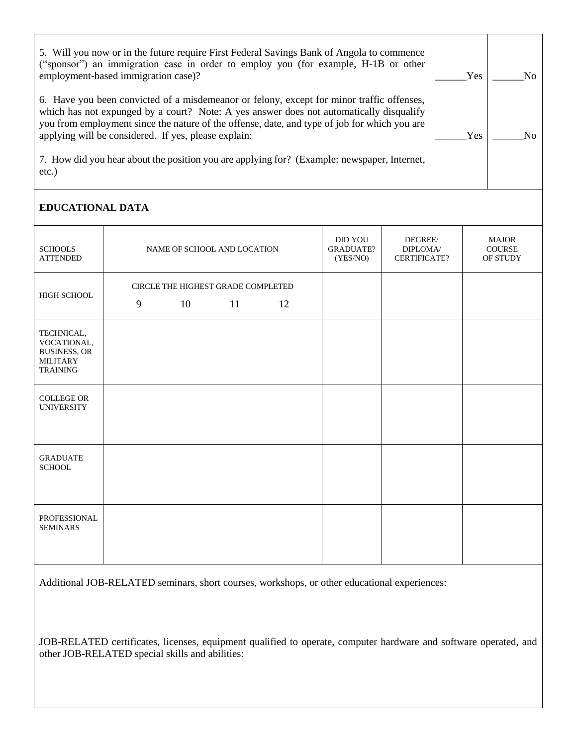5. Will you now or in the future require First Federal Savings Bank of Angola to commence ("sponsor") an immigration case in order to employ you (for example, H-1B or other employment-based immigration case)? 6. Have you been convicted of a misdemeanor or felony, except for minor traffic offenses, which has not expunged by a court? Note: A yes answer does not automatically disqualify you from employment since the nature of the offense, date, and type of job for which you are applying will be considered. If yes, please explain: 7. How did you hear about the position you are applying for? (Example: newspaper, Internet, etc.) \_\_\_\_\_\_Yes \_\_\_\_\_\_Yes No.  $\overline{\text{No}}$ 

## **EDUCATIONAL DATA**

| <b>SCHOOLS</b><br><b>ATTENDED</b>                                                      | NAME OF SCHOOL AND LOCATION                               | <b>DID YOU</b><br><b>GRADUATE?</b><br>(YES/NO) | DEGREE/<br>DIPLOMA/<br><b>CERTIFICATE?</b> | <b>MAJOR</b><br>COURSE<br>OF STUDY |
|----------------------------------------------------------------------------------------|-----------------------------------------------------------|------------------------------------------------|--------------------------------------------|------------------------------------|
| HIGH SCHOOL                                                                            | CIRCLE THE HIGHEST GRADE COMPLETED<br>9<br>10<br>11<br>12 |                                                |                                            |                                    |
| TECHNICAL,<br>VOCATIONAL,<br><b>BUSINESS, OR</b><br><b>MILITARY</b><br><b>TRAINING</b> |                                                           |                                                |                                            |                                    |
| <b>COLLEGE OR</b><br><b>UNIVERSITY</b>                                                 |                                                           |                                                |                                            |                                    |
| <b>GRADUATE</b><br><b>SCHOOL</b>                                                       |                                                           |                                                |                                            |                                    |
| PROFESSIONAL<br><b>SEMINARS</b>                                                        |                                                           |                                                |                                            |                                    |

Additional JOB-RELATED seminars, short courses, workshops, or other educational experiences:

JOB-RELATED certificates, licenses, equipment qualified to operate, computer hardware and software operated, and other JOB-RELATED special skills and abilities: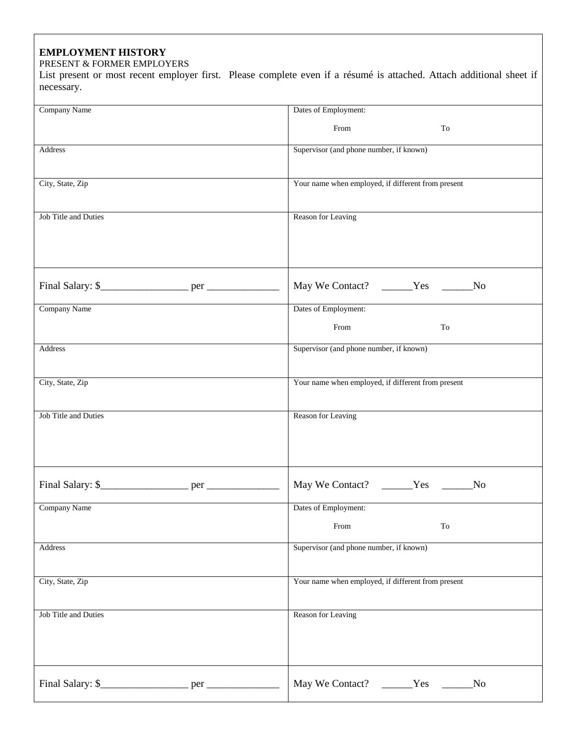## **EMPLOYMENT HISTORY**

#### PRESENT & FORMER EMPLOYERS

List present or most recent employer first. Please complete even if a résumé is attached. Attach additional sheet if necessary.

| Company Name                | Dates of Employment:                               |
|-----------------------------|----------------------------------------------------|
|                             | From<br>To                                         |
|                             |                                                    |
| Address                     | Supervisor (and phone number, if known)            |
|                             |                                                    |
|                             |                                                    |
| City, State, Zip            | Your name when employed, if different from present |
|                             |                                                    |
|                             |                                                    |
| <b>Job Title and Duties</b> |                                                    |
|                             | Reason for Leaving                                 |
|                             |                                                    |
|                             |                                                    |
|                             |                                                    |
|                             |                                                    |
|                             |                                                    |
|                             | N <sub>0</sub>                                     |
|                             |                                                    |
| Company Name                | Dates of Employment:                               |
|                             |                                                    |
|                             | From<br>To                                         |
| Address                     | Supervisor (and phone number, if known)            |
|                             |                                                    |
|                             |                                                    |
|                             |                                                    |
| City, State, Zip            | Your name when employed, if different from present |
|                             |                                                    |
|                             |                                                    |
| Job Title and Duties        | Reason for Leaving                                 |
|                             |                                                    |
|                             |                                                    |
|                             |                                                    |
|                             |                                                    |
|                             |                                                    |
|                             | May We Contact? ______Yes ______No                 |
|                             |                                                    |
| Company Name                | Dates of Employment:                               |
|                             | To                                                 |
|                             | From                                               |
| Address                     |                                                    |
|                             |                                                    |
|                             | Supervisor (and phone number, if known)            |
|                             |                                                    |
|                             |                                                    |
| City, State, Zip            | Your name when employed, if different from present |
|                             |                                                    |
|                             |                                                    |
| <b>Job Title and Duties</b> | Reason for Leaving                                 |
|                             |                                                    |
|                             |                                                    |
|                             |                                                    |
|                             |                                                    |
|                             |                                                    |
|                             | May We Contact? _______Yes _______No               |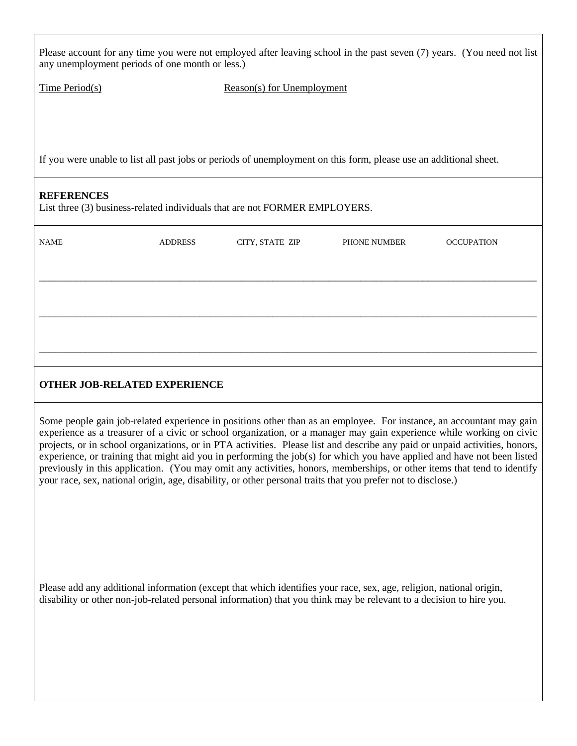| any unemployment periods of one month or less.)                                                                                                                                                                                                                                                                                                                                                                                                                                                                                                                                                                                                                                                                                                   |                |                            |                                                                                                                                                                                                                                            | Please account for any time you were not employed after leaving school in the past seven (7) years. (You need not list |  |
|---------------------------------------------------------------------------------------------------------------------------------------------------------------------------------------------------------------------------------------------------------------------------------------------------------------------------------------------------------------------------------------------------------------------------------------------------------------------------------------------------------------------------------------------------------------------------------------------------------------------------------------------------------------------------------------------------------------------------------------------------|----------------|----------------------------|--------------------------------------------------------------------------------------------------------------------------------------------------------------------------------------------------------------------------------------------|------------------------------------------------------------------------------------------------------------------------|--|
| <u>Time Period(s)</u>                                                                                                                                                                                                                                                                                                                                                                                                                                                                                                                                                                                                                                                                                                                             |                | Reason(s) for Unemployment |                                                                                                                                                                                                                                            |                                                                                                                        |  |
|                                                                                                                                                                                                                                                                                                                                                                                                                                                                                                                                                                                                                                                                                                                                                   |                |                            |                                                                                                                                                                                                                                            |                                                                                                                        |  |
|                                                                                                                                                                                                                                                                                                                                                                                                                                                                                                                                                                                                                                                                                                                                                   |                |                            | If you were unable to list all past jobs or periods of unemployment on this form, please use an additional sheet.                                                                                                                          |                                                                                                                        |  |
| <b>REFERENCES</b><br>List three (3) business-related individuals that are not FORMER EMPLOYERS.                                                                                                                                                                                                                                                                                                                                                                                                                                                                                                                                                                                                                                                   |                |                            |                                                                                                                                                                                                                                            |                                                                                                                        |  |
| <b>NAME</b>                                                                                                                                                                                                                                                                                                                                                                                                                                                                                                                                                                                                                                                                                                                                       | <b>ADDRESS</b> | CITY, STATE ZIP            | PHONE NUMBER                                                                                                                                                                                                                               | <b>OCCUPATION</b>                                                                                                      |  |
|                                                                                                                                                                                                                                                                                                                                                                                                                                                                                                                                                                                                                                                                                                                                                   |                |                            |                                                                                                                                                                                                                                            |                                                                                                                        |  |
|                                                                                                                                                                                                                                                                                                                                                                                                                                                                                                                                                                                                                                                                                                                                                   |                |                            |                                                                                                                                                                                                                                            |                                                                                                                        |  |
|                                                                                                                                                                                                                                                                                                                                                                                                                                                                                                                                                                                                                                                                                                                                                   |                |                            |                                                                                                                                                                                                                                            |                                                                                                                        |  |
|                                                                                                                                                                                                                                                                                                                                                                                                                                                                                                                                                                                                                                                                                                                                                   |                |                            |                                                                                                                                                                                                                                            |                                                                                                                        |  |
| <b>OTHER JOB-RELATED EXPERIENCE</b>                                                                                                                                                                                                                                                                                                                                                                                                                                                                                                                                                                                                                                                                                                               |                |                            |                                                                                                                                                                                                                                            |                                                                                                                        |  |
| Some people gain job-related experience in positions other than as an employee. For instance, an accountant may gain<br>experience as a treasurer of a civic or school organization, or a manager may gain experience while working on civic<br>projects, or in school organizations, or in PTA activities. Please list and describe any paid or unpaid activities, honors,<br>experience, or training that might aid you in performing the job(s) for which you have applied and have not been listed<br>previously in this application. (You may omit any activities, honors, memberships, or other items that tend to identify<br>your race, sex, national origin, age, disability, or other personal traits that you prefer not to disclose.) |                |                            |                                                                                                                                                                                                                                            |                                                                                                                        |  |
|                                                                                                                                                                                                                                                                                                                                                                                                                                                                                                                                                                                                                                                                                                                                                   |                |                            |                                                                                                                                                                                                                                            |                                                                                                                        |  |
|                                                                                                                                                                                                                                                                                                                                                                                                                                                                                                                                                                                                                                                                                                                                                   |                |                            | Please add any additional information (except that which identifies your race, sex, age, religion, national origin,<br>disability or other non-job-related personal information) that you think may be relevant to a decision to hire you. |                                                                                                                        |  |
|                                                                                                                                                                                                                                                                                                                                                                                                                                                                                                                                                                                                                                                                                                                                                   |                |                            |                                                                                                                                                                                                                                            |                                                                                                                        |  |